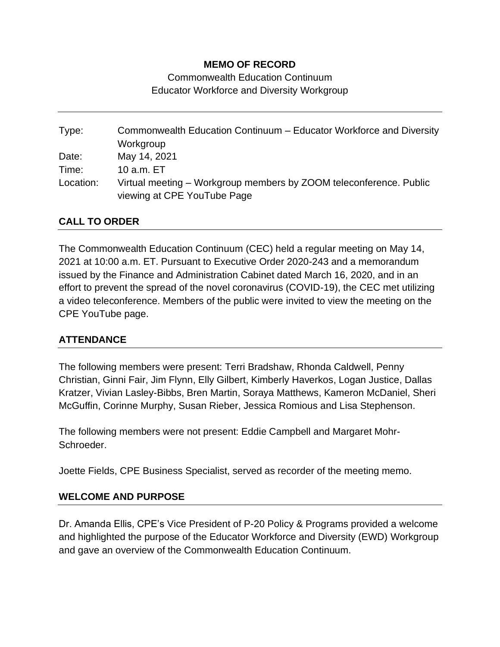### **MEMO OF RECORD**

Commonwealth Education Continuum Educator Workforce and Diversity Workgroup

Type: Commonwealth Education Continuum – Educator Workforce and Diversity **Workgroup** Date: May 14, 2021 Time: 10 a.m. ET Location: Virtual meeting – Workgroup members by ZOOM teleconference. Public viewing at CPE YouTube Page

## **CALL TO ORDER**

The Commonwealth Education Continuum (CEC) held a regular meeting on May 14, 2021 at 10:00 a.m. ET. Pursuant to Executive Order 2020-243 and a memorandum issued by the Finance and Administration Cabinet dated March 16, 2020, and in an effort to prevent the spread of the novel coronavirus (COVID-19), the CEC met utilizing a video teleconference. Members of the public were invited to view the meeting on the CPE YouTube page.

#### **ATTENDANCE**

The following members were present: Terri Bradshaw, Rhonda Caldwell, Penny Christian, Ginni Fair, Jim Flynn, Elly Gilbert, Kimberly Haverkos, Logan Justice, Dallas Kratzer, Vivian Lasley-Bibbs, Bren Martin, Soraya Matthews, Kameron McDaniel, Sheri McGuffin, Corinne Murphy, Susan Rieber, Jessica Romious and Lisa Stephenson.

The following members were not present: Eddie Campbell and Margaret Mohr-Schroeder.

Joette Fields, CPE Business Specialist, served as recorder of the meeting memo.

#### **WELCOME AND PURPOSE**

Dr. Amanda Ellis, CPE's Vice President of P-20 Policy & Programs provided a welcome and highlighted the purpose of the Educator Workforce and Diversity (EWD) Workgroup and gave an overview of the Commonwealth Education Continuum.